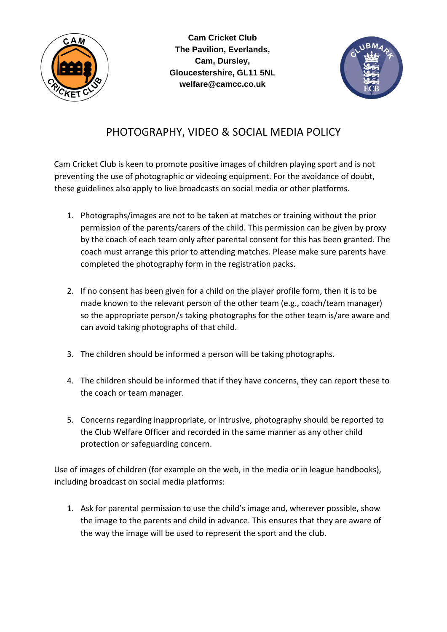

**Cam Cricket Club The Pavilion, Everlands, Cam, Dursley, Gloucestershire, GL11 5NL welfare@camcc.co.uk** 



## PHOTOGRAPHY, VIDEO & SOCIAL MEDIA POLICY

Cam Cricket Club is keen to promote positive images of children playing sport and is not preventing the use of photographic or videoing equipment. For the avoidance of doubt, these guidelines also apply to live broadcasts on social media or other platforms.

- 1. Photographs/images are not to be taken at matches or training without the prior permission of the parents/carers of the child. This permission can be given by proxy by the coach of each team only after parental consent for this has been granted. The coach must arrange this prior to attending matches. Please make sure parents have completed the photography form in the registration packs.
- 2. If no consent has been given for a child on the player profile form, then it is to be made known to the relevant person of the other team (e.g., coach/team manager) so the appropriate person/s taking photographs for the other team is/are aware and can avoid taking photographs of that child.
- 3. The children should be informed a person will be taking photographs.
- 4. The children should be informed that if they have concerns, they can report these to the coach or team manager.
- 5. Concerns regarding inappropriate, or intrusive, photography should be reported to the Club Welfare Officer and recorded in the same manner as any other child protection or safeguarding concern.

Use of images of children (for example on the web, in the media or in league handbooks), including broadcast on social media platforms:

1. Ask for parental permission to use the child's image and, wherever possible, show the image to the parents and child in advance. This ensures that they are aware of the way the image will be used to represent the sport and the club.